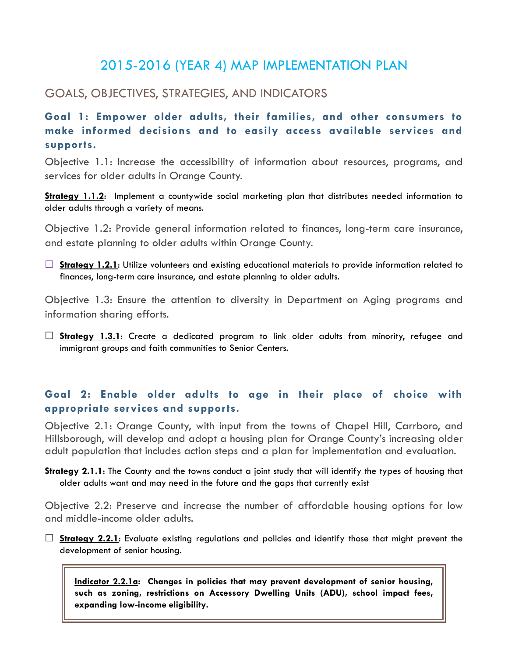# 2015-2016 (YEAR 4) MAP IMPLEMENTATION PLAN

# GOALS, OBJECTIVES, STRATEGIES, AND INDICATORS

**Goal 1: Empower older adults, their families, and other consumers to make informed decisions and to easily access available services and supports.** 

Objective 1.1: Increase the accessibility of information about resources, programs, and services for older adults in Orange County.

**Strategy 1.1.2**: Implement a countywide social marketing plan that distributes needed information to older adults through a variety of means.

Objective 1.2: Provide general information related to finances, long-term care insurance, and estate planning to older adults within Orange County.

□ **Strategy 1.2.1**: Utilize volunteers and existing educational materials to provide information related to finances, long-term care insurance, and estate planning to older adults.

Objective 1.3: Ensure the attention to diversity in Department on Aging programs and information sharing efforts.

 **Strategy 1.3.1**: Create a dedicated program to link older adults from minority, refugee and immigrant groups and faith communities to Senior Centers.

### **Goal 2: Enable older adults to age in their place of choice with appropriate services and supports.**

Objective 2.1: Orange County, with input from the towns of Chapel Hill, Carrboro, and Hillsborough, will develop and adopt a housing plan for Orange County's increasing older adult population that includes action steps and a plan for implementation and evaluation.

**Strategy 2.1.1**: The County and the towns conduct a joint study that will identify the types of housing that older adults want and may need in the future and the gaps that currently exist

Objective 2.2: Preserve and increase the number of affordable housing options for low and middle-income older adults.

**Strategy 2.2.1**: Evaluate existing regulations and policies and identify those that might prevent the development of senior housing.

**Indicator 2.2.1a: Changes in policies that may prevent development of senior housing, such as zoning, restrictions on Accessory Dwelling Units (ADU), school impact fees, expanding low-income eligibility.**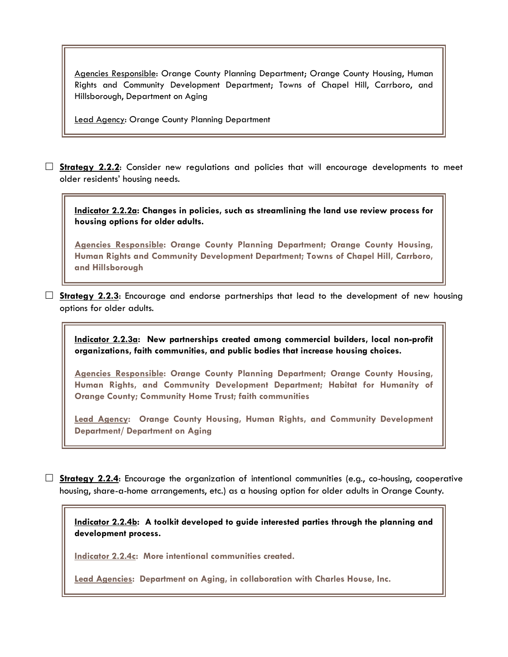Agencies Responsible: Orange County Planning Department; Orange County Housing, Human Rights and Community Development Department; Towns of Chapel Hill, Carrboro, and Hillsborough, Department on Aging

Lead Agency: Orange County Planning Department

 **Strategy 2.2.2**: Consider new regulations and policies that will encourage developments to meet older residents' housing needs.

**Indicator 2.2.2a: Changes in policies, such as streamlining the land use review process for housing options for older adults.**

**Agencies Responsible: Orange County Planning Department; Orange County Housing, Human Rights and Community Development Department; Towns of Chapel Hill, Carrboro, and Hillsborough**

**Strategy 2.2.3**: Encourage and endorse partnerships that lead to the development of new housing options for older adults.

**Indicator 2.2.3a: New partnerships created among commercial builders, local non-profit organizations, faith communities, and public bodies that increase housing choices.**

**Agencies Responsible: Orange County Planning Department; Orange County Housing, Human Rights, and Community Development Department; Habitat for Humanity of Orange County; Community Home Trust; faith communities**

**Lead Agency: Orange County Housing, Human Rights, and Community Development Department/ Department on Aging**

 $\Box$  **Strategy 2.2.4:** Encourage the organization of intentional communities (e.g., co-housing, cooperative housing, share-a-home arrangements, etc.) as a housing option for older adults in Orange County.

**Indicator 2.2.4b: A toolkit developed to guide interested parties through the planning and development process.**

**Indicator 2.2.4c: More intentional communities created.**

**Lead Agencies: Department on Aging, in collaboration with Charles House, Inc.**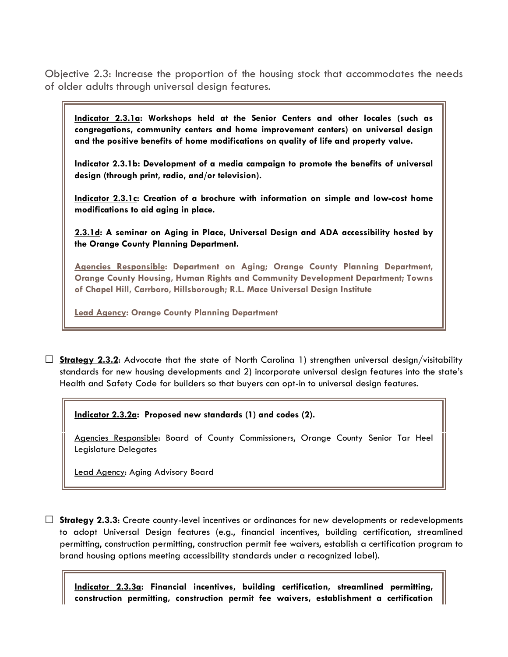Objective 2.3: Increase the proportion of the housing stock that accommodates the needs of older adults through universal design features.

**Indicator 2.3.1a: Workshops held at the Senior Centers and other locales (such as congregations, community centers and home improvement centers) on universal design and the positive benefits of home modifications on quality of life and property value.**

**Indicator 2.3.1b: Development of a media campaign to promote the benefits of universal design (through print, radio, and/or television).**

**Indicator 2.3.1c: Creation of a brochure with information on simple and low-cost home modifications to aid aging in place.**

**2.3.1d: A seminar on Aging in Place, Universal Design and ADA accessibility hosted by the Orange County Planning Department.** 

**Agencies Responsible: Department on Aging; Orange County Planning Department, Orange County Housing, Human Rights and Community Development Department; Towns of Chapel Hill, Carrboro, Hillsborough; R.L. Mace Universal Design Institute**

**Lead Agency: Orange County Planning Department**

□ **Strategy 2.3.2:** Advocate that the state of North Carolina 1) strengthen universal design/visitability standards for new housing developments and 2) incorporate universal design features into the state's Health and Safety Code for builders so that buyers can opt-in to universal design features.

**Indicator 2.3.2a: Proposed new standards (1) and codes (2).**

Agencies Responsible: Board of County Commissioners, Orange County Senior Tar Heel Legislature Delegates

Lead Agency: Aging Advisory Board

 **Strategy 2.3.3**: Create county-level incentives or ordinances for new developments or redevelopments to adopt Universal Design features (e.g., financial incentives, building certification, streamlined permitting, construction permitting, construction permit fee waivers, establish a certification program to brand housing options meeting accessibility standards under a recognized label).

**Indicator 2.3.3a: Financial incentives, building certification, streamlined permitting, construction permitting, construction permit fee waivers, establishment a certification**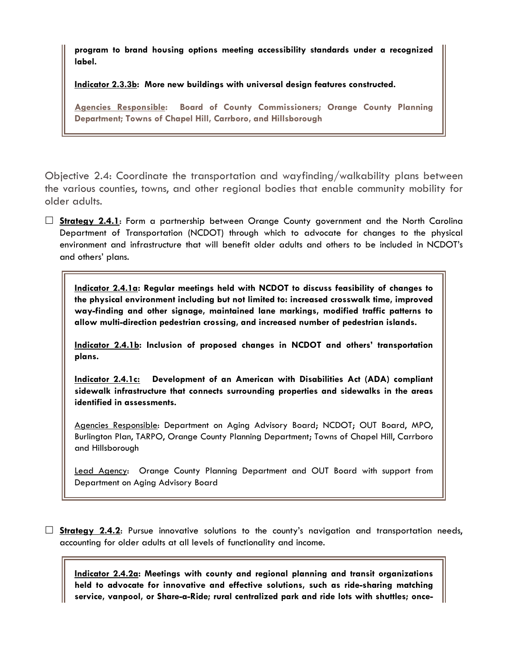**program to brand housing options meeting accessibility standards under a recognized label.**

**Indicator 2.3.3b: More new buildings with universal design features constructed.**

**Agencies Responsible: Board of County Commissioners; Orange County Planning Department; Towns of Chapel Hill, Carrboro, and Hillsborough**

Objective 2.4: Coordinate the transportation and wayfinding/walkability plans between the various counties, towns, and other regional bodies that enable community mobility for older adults.

 **Strategy 2.4.1**: Form a partnership between Orange County government and the North Carolina Department of Transportation (NCDOT) through which to advocate for changes to the physical environment and infrastructure that will benefit older adults and others to be included in NCDOT's and others' plans.

**Indicator 2.4.1a: Regular meetings held with NCDOT to discuss feasibility of changes to the physical environment including but not limited to: increased crosswalk time, improved way-finding and other signage, maintained lane markings, modified traffic patterns to allow multi-direction pedestrian crossing, and increased number of pedestrian islands.** 

**Indicator 2.4.1b: Inclusion of proposed changes in NCDOT and others' transportation plans.** 

**Indicator 2.4.1c: Development of an American with Disabilities Act (ADA) compliant sidewalk infrastructure that connects surrounding properties and sidewalks in the areas identified in assessments.** 

Agencies Responsible: Department on Aging Advisory Board; NCDOT; OUT Board, MPO, Burlington Plan, TARPO, Orange County Planning Department; Towns of Chapel Hill, Carrboro and Hillsborough

Lead Agency: Orange County Planning Department and OUT Board with support from Department on Aging Advisory Board

 **Strategy 2.4.2**: Pursue innovative solutions to the county's navigation and transportation needs, accounting for older adults at all levels of functionality and income.

**Indicator 2.4.2a: Meetings with county and regional planning and transit organizations held to advocate for innovative and effective solutions, such as ride-sharing matching service, vanpool, or Share-a-Ride; rural centralized park and ride lots with shuttles; once-**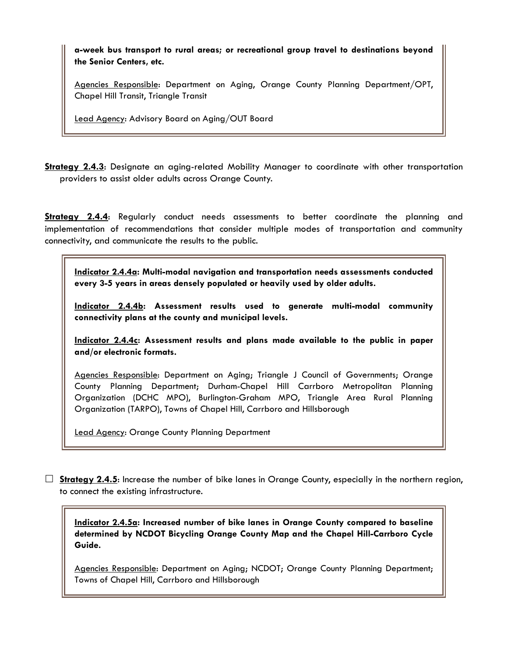**a-week bus transport to rural areas; or recreational group travel to destinations beyond the Senior Centers, etc.**

Agencies Responsible: Department on Aging, Orange County Planning Department/OPT, Chapel Hill Transit, Triangle Transit

Lead Agency: Advisory Board on Aging/OUT Board

**Strategy 2.4.3**: Designate an aging-related Mobility Manager to coordinate with other transportation providers to assist older adults across Orange County.

**Strategy 2.4.4**: Regularly conduct needs assessments to better coordinate the planning and implementation of recommendations that consider multiple modes of transportation and community connectivity, and communicate the results to the public.

**Indicator 2.4.4a: Multi-modal navigation and transportation needs assessments conducted every 3-5 years in areas densely populated or heavily used by older adults.**

**Indicator 2.4.4b: Assessment results used to generate multi-modal community connectivity plans at the county and municipal levels.**

**Indicator 2.4.4c: Assessment results and plans made available to the public in paper and/or electronic formats.** 

Agencies Responsible: Department on Aging; Triangle J Council of Governments; Orange County Planning Department; Durham-Chapel Hill Carrboro Metropolitan Planning Organization (DCHC MPO), Burlington-Graham MPO, Triangle Area Rural Planning Organization (TARPO), Towns of Chapel Hill, Carrboro and Hillsborough

Lead Agency: Orange County Planning Department

 $\Box$  **Strategy 2.4.5**: Increase the number of bike lanes in Orange County, especially in the northern region, to connect the existing infrastructure.

**Indicator 2.4.5a: Increased number of bike lanes in Orange County compared to baseline determined by NCDOT Bicycling Orange County Map and the Chapel Hill-Carrboro Cycle Guide.**

Agencies Responsible: Department on Aging; NCDOT; Orange County Planning Department; Towns of Chapel Hill, Carrboro and Hillsborough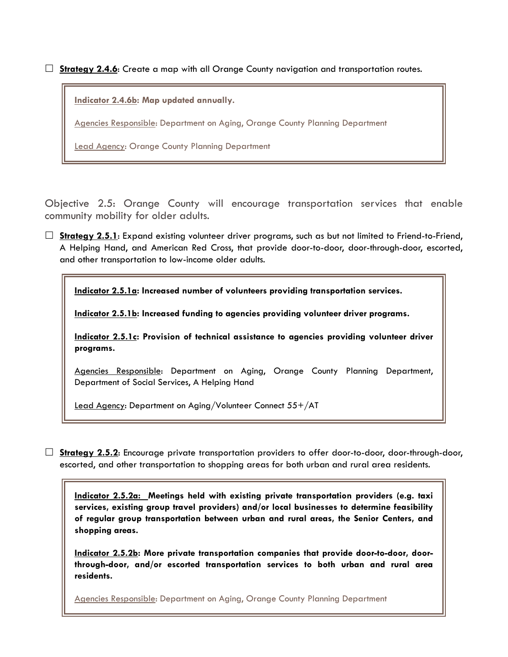**Strategy 2.4.6**: Create a map with all Orange County navigation and transportation routes.

**Indicator 2.4.6b: Map updated annually.** 

Agencies Responsible: Department on Aging, Orange County Planning Department

Lead Agency: Orange County Planning Department

Objective 2.5: Orange County will encourage transportation services that enable community mobility for older adults.

□ **Strategy 2.5.1**: Expand existing volunteer driver programs, such as but not limited to Friend-to-Friend, A Helping Hand, and American Red Cross, that provide door-to-door, door-through-door, escorted, and other transportation to low-income older adults.

**Indicator 2.5.1a: Increased number of volunteers providing transportation services.**

**Indicator 2.5.1b: Increased funding to agencies providing volunteer driver programs.**

**Indicator 2.5.1c: Provision of technical assistance to agencies providing volunteer driver programs.**

Agencies Responsible: Department on Aging, Orange County Planning Department, Department of Social Services, A Helping Hand

Lead Agency: Department on Aging/Volunteer Connect 55+/AT

 **Strategy 2.5.2**: Encourage private transportation providers to offer door-to-door, door-through-door, escorted, and other transportation to shopping areas for both urban and rural area residents.

**Indicator 2.5.2a: Meetings held with existing private transportation providers (e.g. taxi services, existing group travel providers) and/or local businesses to determine feasibility of regular group transportation between urban and rural areas, the Senior Centers, and shopping areas.**

**Indicator 2.5.2b: More private transportation companies that provide door-to-door, doorthrough-door, and/or escorted transportation services to both urban and rural area residents.** 

Agencies Responsible: Department on Aging, Orange County Planning Department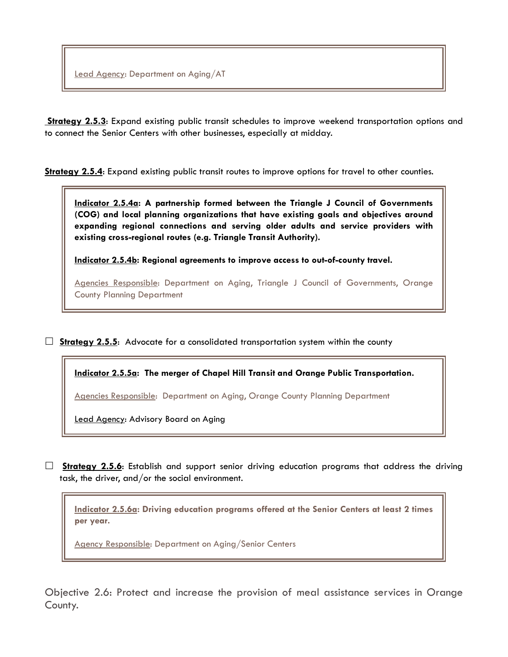**Strategy 2.5.3**: Expand existing public transit schedules to improve weekend transportation options and to connect the Senior Centers with other businesses, especially at midday.

**Strategy 2.5.4**: Expand existing public transit routes to improve options for travel to other counties.

**Indicator 2.5.4a: A partnership formed between the Triangle J Council of Governments (COG) and local planning organizations that have existing goals and objectives around expanding regional connections and serving older adults and service providers with existing cross-regional routes (e.g. Triangle Transit Authority).** 

**Indicator 2.5.4b: Regional agreements to improve access to out-of-county travel.** 

Agencies Responsible: Department on Aging, Triangle J Council of Governments, Orange County Planning Department

**Strategy 2.5.5:** Advocate for a consolidated transportation system within the county

**Indicator 2.5.5a: The merger of Chapel Hill Transit and Orange Public Transportation.**

Agencies Responsible: Department on Aging, Orange County Planning Department

Lead Agency: Advisory Board on Aging

 **Strategy 2.5.6**: Establish and support senior driving education programs that address the driving task, the driver, and/or the social environment.

**Indicator 2.5.6a: Driving education programs offered at the Senior Centers at least 2 times per year.**

Agency Responsible: Department on Aging/Senior Centers

Objective 2.6: Protect and increase the provision of meal assistance services in Orange County.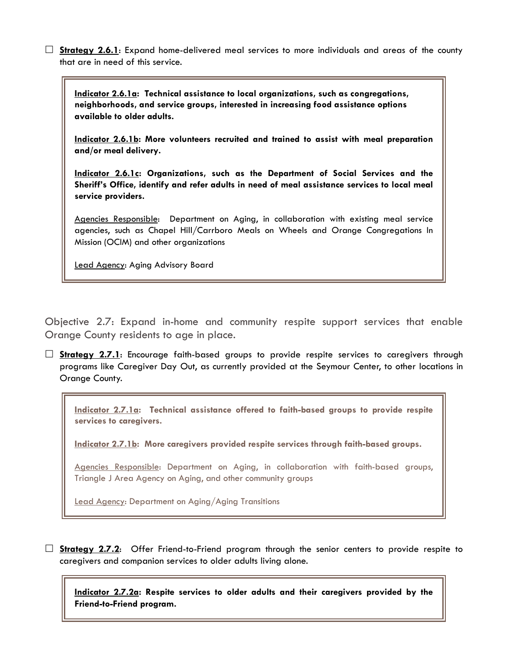**Strategy 2.6.1**: Expand home-delivered meal services to more individuals and areas of the county that are in need of this service.

**Indicator 2.6.1a: Technical assistance to local organizations, such as congregations, neighborhoods, and service groups, interested in increasing food assistance options available to older adults.**

**Indicator 2.6.1b: More volunteers recruited and trained to assist with meal preparation and/or meal delivery.**

**Indicator 2.6.1c: Organizations, such as the Department of Social Services and the Sheriff's Office, identify and refer adults in need of meal assistance services to local meal service providers.** 

Agencies Responsible: Department on Aging, in collaboration with existing meal service agencies, such as Chapel Hill/Carrboro Meals on Wheels and Orange Congregations In Mission (OCIM) and other organizations

Lead Agency: Aging Advisory Board

Objective 2.7: Expand in-home and community respite support services that enable Orange County residents to age in place.

 **Strategy 2.7.1**: Encourage faith-based groups to provide respite services to caregivers through programs like Caregiver Day Out, as currently provided at the Seymour Center, to other locations in Orange County.

**Indicator 2.7.1a: Technical assistance offered to faith-based groups to provide respite services to caregivers.**

**Indicator 2.7.1b: More caregivers provided respite services through faith-based groups.**

Agencies Responsible: Department on Aging, in collaboration with faith-based groups, Triangle J Area Agency on Aging, and other community groups

Lead Agency: Department on Aging/Aging Transitions

 **Strategy 2.7.2**: Offer Friend-to-Friend program through the senior centers to provide respite to caregivers and companion services to older adults living alone.

**Indicator 2.7.2a: Respite services to older adults and their caregivers provided by the Friend-to-Friend program.**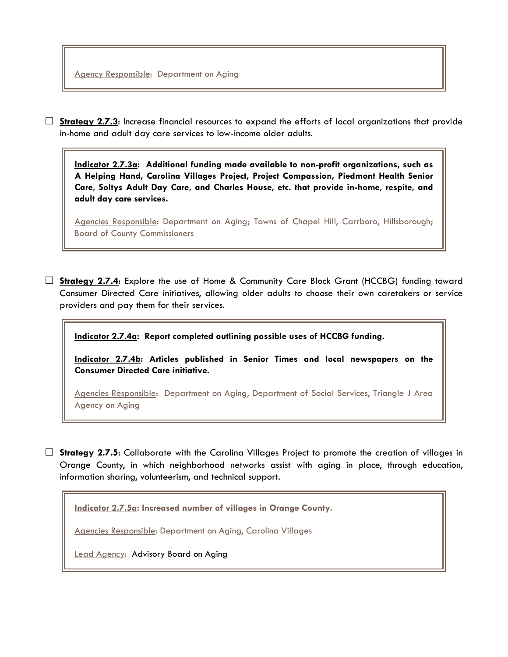□ **Strategy 2.7.3**: Increase financial resources to expand the efforts of local organizations that provide in-home and adult day care services to low-income older adults.

**Indicator 2.7.3a: Additional funding made available to non-profit organizations, such as A Helping Hand, Carolina Villages Project, Project Compassion, Piedmont Health Senior Care, Soltys Adult Day Care, and Charles House, etc. that provide in-home, respite, and adult day care services.**

Agencies Responsible: Department on Aging; Towns of Chapel Hill, Carrboro, Hillsborough; Board of County Commissioners

 **Strategy 2.7.4**: Explore the use of Home & Community Care Block Grant (HCCBG) funding toward Consumer Directed Care initiatives, allowing older adults to choose their own caretakers or service providers and pay them for their services.

**Indicator 2.7.4a: Report completed outlining possible uses of HCCBG funding.**

**Indicator 2.7.4b: Articles published in Senior Times and local newspapers on the Consumer Directed Care initiative.**

Agencies Responsible: Department on Aging, Department of Social Services, Triangle J Area Agency on Aging

 **Strategy 2.7.5**: Collaborate with the Carolina Villages Project to promote the creation of villages in Orange County, in which neighborhood networks assist with aging in place, through education, information sharing, volunteerism, and technical support.

**Indicator 2.7.5a: Increased number of villages in Orange County.**

Agencies Responsible: Department on Aging, Carolina Villages

Lead Agency:Advisory Board on Aging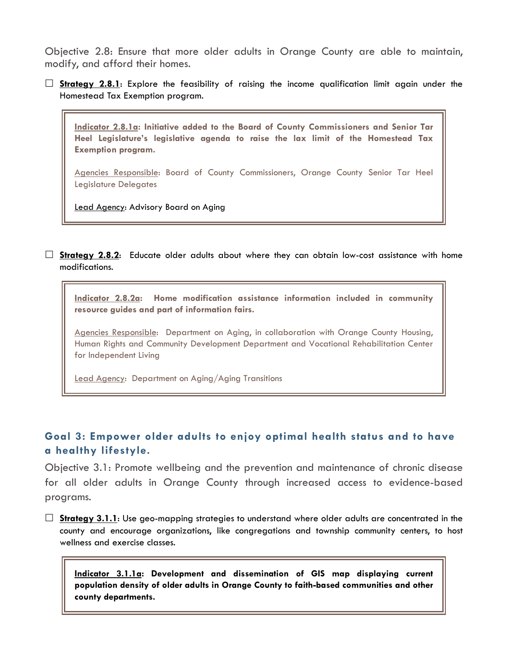Objective 2.8: Ensure that more older adults in Orange County are able to maintain, modify, and afford their homes.

 **Strategy 2.8.1**: Explore the feasibility of raising the income qualification limit again under the Homestead Tax Exemption program.

**Indicator 2.8.1a: Initiative added to the Board of County Commissioners and Senior Tar Heel Legislature's legislative agenda to raise the lax limit of the Homestead Tax Exemption program.**

Agencies Responsible: Board of County Commissioners, Orange County Senior Tar Heel Legislature Delegates

Lead Agency: Advisory Board on Aging

**Strategy 2.8.2:** Educate older adults about where they can obtain low-cost assistance with home modifications.

**Indicator 2.8.2a: Home modification assistance information included in community resource guides and part of information fairs.**

Agencies Responsible: Department on Aging, in collaboration with Orange County Housing, Human Rights and Community Development Department and Vocational Rehabilitation Center for Independent Living

Lead Agency: Department on Aging/Aging Transitions

# **Goal 3: Empower older adults to enjoy optimal health status and to have a healthy lifestyle.**

Objective 3.1: Promote wellbeing and the prevention and maintenance of chronic disease for all older adults in Orange County through increased access to evidence-based programs.

 **Strategy 3.1.1**: Use geo-mapping strategies to understand where older adults are concentrated in the county and encourage organizations, like congregations and township community centers, to host wellness and exercise classes.

**Indicator 3.1.1a: Development and dissemination of GIS map displaying current population density of older adults in Orange County to faith-based communities and other county departments.**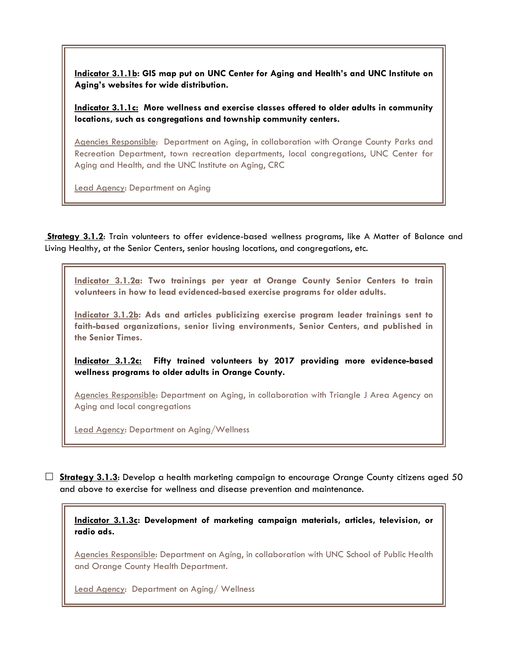**Indicator 3.1.1b: GIS map put on UNC Center for Aging and Health's and UNC Institute on Aging's websites for wide distribution.**

**Indicator 3.1.1c: More wellness and exercise classes offered to older adults in community locations, such as congregations and township community centers.**

Agencies Responsible: Department on Aging, in collaboration with Orange County Parks and Recreation Department, town recreation departments, local congregations, UNC Center for Aging and Health, and the UNC Institute on Aging, CRC

Lead Agency: Department on Aging

**Strategy 3.1.2**: Train volunteers to offer evidence-based wellness programs, like A Matter of Balance and Living Healthy, at the Senior Centers, senior housing locations, and congregations, etc.

**Indicator 3.1.2a: Two trainings per year at Orange County Senior Centers to train volunteers in how to lead evidenced-based exercise programs for older adults.**

**Indicator 3.1.2b: Ads and articles publicizing exercise program leader trainings sent to faith-based organizations, senior living environments, Senior Centers, and published in the Senior Times.**

**Indicator 3.1.2c: Fifty trained volunteers by 2017 providing more evidence-based wellness programs to older adults in Orange County.**

Agencies Responsible: Department on Aging, in collaboration with Triangle J Area Agency on Aging and local congregations

Lead Agency: Department on Aging/Wellness

 **Strategy 3.1.3**: Develop a health marketing campaign to encourage Orange County citizens aged 50 and above to exercise for wellness and disease prevention and maintenance.

**Indicator 3.1.3c: Development of marketing campaign materials, articles, television, or radio ads.**

Agencies Responsible: Department on Aging, in collaboration with UNC School of Public Health and Orange County Health Department.

Lead Agency: Department on Aging/ Wellness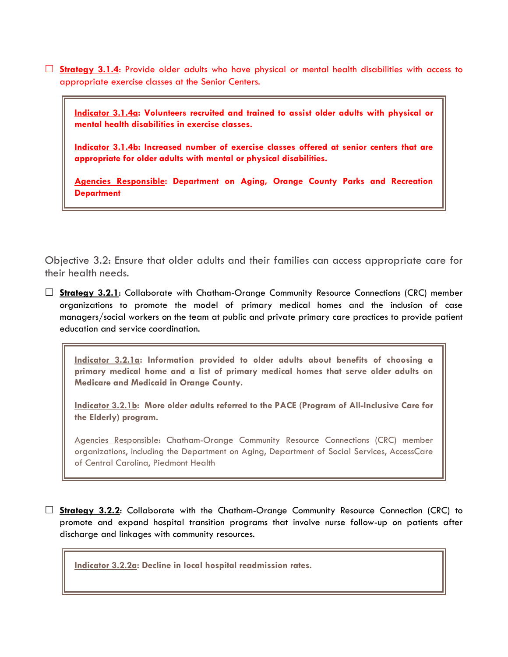**Strategy 3.1.4**: Provide older adults who have physical or mental health disabilities with access to appropriate exercise classes at the Senior Centers.

**Indicator 3.1.4a: Volunteers recruited and trained to assist older adults with physical or mental health disabilities in exercise classes.**

**Indicator 3.1.4b: Increased number of exercise classes offered at senior centers that are appropriate for older adults with mental or physical disabilities.**

**Agencies Responsible: Department on Aging, Orange County Parks and Recreation Department**

Objective 3.2: Ensure that older adults and their families can access appropriate care for their health needs.

 **Strategy 3.2.1**: Collaborate with Chatham-Orange Community Resource Connections (CRC) member organizations to promote the model of primary medical homes and the inclusion of case managers/social workers on the team at public and private primary care practices to provide patient education and service coordination.

**Indicator 3.2.1a: Information provided to older adults about benefits of choosing a primary medical home and a list of primary medical homes that serve older adults on Medicare and Medicaid in Orange County.**

**Indicator 3.2.1b: More older adults referred to the PACE (Program of All-Inclusive Care for the Elderly) program.**

Agencies Responsible: Chatham-Orange Community Resource Connections (CRC) member organizations, including the Department on Aging, Department of Social Services, AccessCare of Central Carolina, Piedmont Health

 **Strategy 3.2.2**: Collaborate with the Chatham-Orange Community Resource Connection (CRC) to promote and expand hospital transition programs that involve nurse follow-up on patients after discharge and linkages with community resources.

**Indicator 3.2.2a: Decline in local hospital readmission rates.**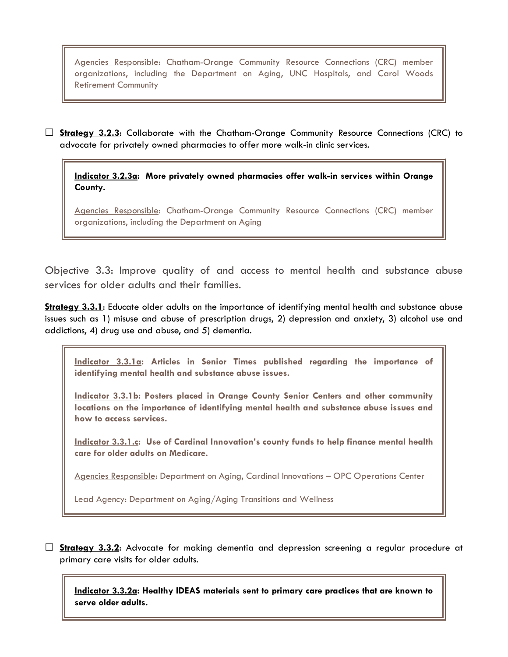Agencies Responsible: Chatham-Orange Community Resource Connections (CRC) member organizations, including the Department on Aging, UNC Hospitals, and Carol Woods Retirement Community

 **Strategy 3.2.3**: Collaborate with the Chatham-Orange Community Resource Connections (CRC) to advocate for privately owned pharmacies to offer more walk-in clinic services.

**Indicator 3.2.3a: More privately owned pharmacies offer walk-in services within Orange County.**

Agencies Responsible: Chatham-Orange Community Resource Connections (CRC) member organizations, including the Department on Aging

Objective 3.3: Improve quality of and access to mental health and substance abuse services for older adults and their families.

**Strategy 3.3.1**: Educate older adults on the importance of identifying mental health and substance abuse issues such as 1) misuse and abuse of prescription drugs, 2) depression and anxiety, 3) alcohol use and addictions, 4) drug use and abuse, and 5) dementia.

**Indicator 3.3.1a: Articles in Senior Times published regarding the importance of identifying mental health and substance abuse issues.**

**Indicator 3.3.1b: Posters placed in Orange County Senior Centers and other community locations on the importance of identifying mental health and substance abuse issues and how to access services.**

**Indicator 3.3.1.c: Use of Cardinal Innovation's county funds to help finance mental health care for older adults on Medicare.**

Agencies Responsible: Department on Aging, Cardinal Innovations – OPC Operations Center

Lead Agency: Department on Aging/Aging Transitions and Wellness

 **Strategy 3.3.2**: Advocate for making dementia and depression screening a regular procedure at primary care visits for older adults.

**Indicator 3.3.2a: Healthy IDEAS materials sent to primary care practices that are known to serve older adults.**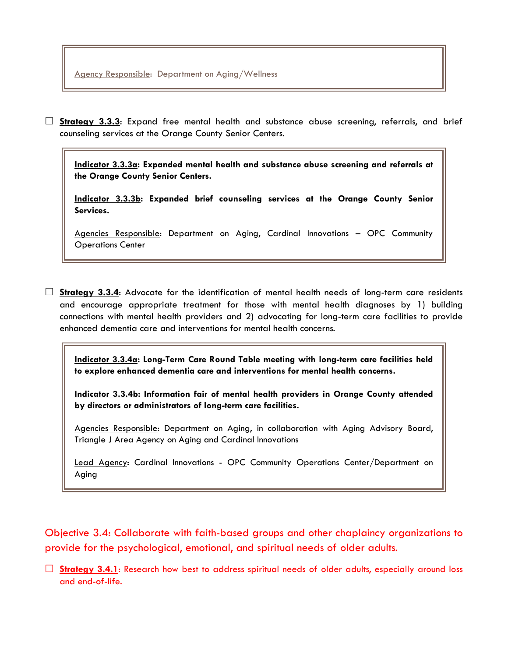**Strategy 3.3.3**: Expand free mental health and substance abuse screening, referrals, and brief counseling services at the Orange County Senior Centers.

**Indicator 3.3.3a: Expanded mental health and substance abuse screening and referrals at the Orange County Senior Centers.**

**Indicator 3.3.3b: Expanded brief counseling services at the Orange County Senior Services.**

Agencies Responsible: Department on Aging, Cardinal Innovations – OPC Community Operations Center

 **Strategy 3.3.4**: Advocate for the identification of mental health needs of long-term care residents and encourage appropriate treatment for those with mental health diagnoses by 1) building connections with mental health providers and 2) advocating for long-term care facilities to provide enhanced dementia care and interventions for mental health concerns.

**Indicator 3.3.4a: Long-Term Care Round Table meeting with long-term care facilities held to explore enhanced dementia care and interventions for mental health concerns.**

**Indicator 3.3.4b: Information fair of mental health providers in Orange County attended by directors or administrators of long-term care facilities.**

Agencies Responsible: Department on Aging, in collaboration with Aging Advisory Board, Triangle J Area Agency on Aging and Cardinal Innovations

Lead Agency: Cardinal Innovations - OPC Community Operations Center/Department on Aging

Objective 3.4: Collaborate with faith-based groups and other chaplaincy organizations to provide for the psychological, emotional, and spiritual needs of older adults.

□ **Strategy 3.4.1**: Research how best to address spiritual needs of older adults, especially around loss and end-of-life.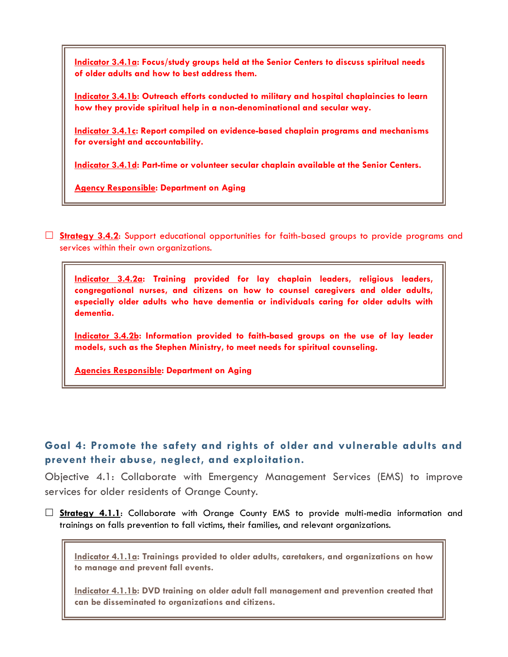**Indicator 3.4.1a: Focus/study groups held at the Senior Centers to discuss spiritual needs of older adults and how to best address them.**

**Indicator 3.4.1b: Outreach efforts conducted to military and hospital chaplaincies to learn how they provide spiritual help in a non-denominational and secular way.**

**Indicator 3.4.1c: Report compiled on evidence-based chaplain programs and mechanisms for oversight and accountability.**

**Indicator 3.4.1d: Part-time or volunteer secular chaplain available at the Senior Centers.**

**Agency Responsible: Department on Aging**

 **Strategy 3.4.2**: Support educational opportunities for faith-based groups to provide programs and services within their own organizations.

**Indicator 3.4.2a: Training provided for lay chaplain leaders, religious leaders, congregational nurses, and citizens on how to counsel caregivers and older adults, especially older adults who have dementia or individuals caring for older adults with dementia.** 

**Indicator 3.4.2b: Information provided to faith-based groups on the use of lay leader models, such as the Stephen Ministry, to meet needs for spiritual counseling.**

**Agencies Responsible: Department on Aging**

### **Goal 4: Promote the safety and rights of older and vulnerable adults and prevent their abuse, neglect, and exploitation.**

Objective 4.1: Collaborate with Emergency Management Services (EMS) to improve services for older residents of Orange County.

 **Strategy 4.1.1**: Collaborate with Orange County EMS to provide multi-media information and trainings on falls prevention to fall victims, their families, and relevant organizations.

**Indicator 4.1.1a: Trainings provided to older adults, caretakers, and organizations on how to manage and prevent fall events.**

**Indicator 4.1.1b: DVD training on older adult fall management and prevention created that can be disseminated to organizations and citizens.**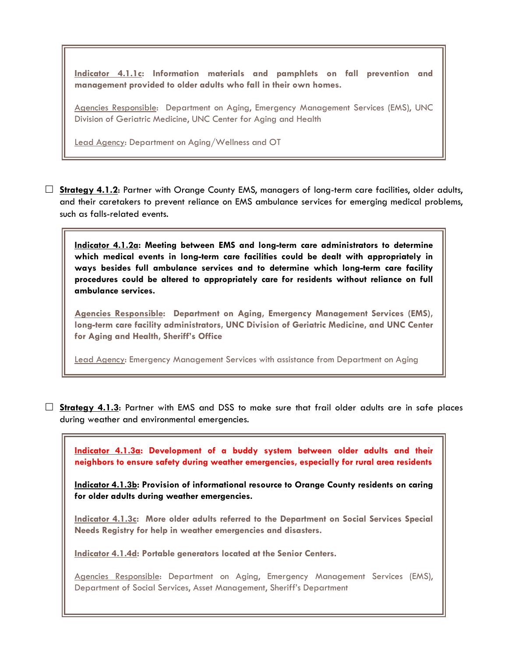**Indicator 4.1.1c: Information materials and pamphlets on fall prevention and management provided to older adults who fall in their own homes.**

Agencies Responsible: Department on Aging, Emergency Management Services (EMS), UNC Division of Geriatric Medicine, UNC Center for Aging and Health

Lead Agency: Department on Aging/Wellness and OT

 **Strategy 4.1.2**: Partner with Orange County EMS, managers of long-term care facilities, older adults, and their caretakers to prevent reliance on EMS ambulance services for emerging medical problems, such as falls-related events.

**Indicator 4.1.2a: Meeting between EMS and long-term care administrators to determine which medical events in long-term care facilities could be dealt with appropriately in ways besides full ambulance services and to determine which long-term care facility procedures could be altered to appropriately care for residents without reliance on full ambulance services.**

**Agencies Responsible: Department on Aging, Emergency Management Services (EMS), long-term care facility administrators, UNC Division of Geriatric Medicine, and UNC Center for Aging and Health, Sheriff's Office**

Lead Agency: Emergency Management Services with assistance from Department on Aging

 **Strategy 4.1.3**: Partner with EMS and DSS to make sure that frail older adults are in safe places during weather and environmental emergencies.

**Indicator 4.1.3a: Development of a buddy system between older adults and their neighbors to ensure safety during weather emergencies, especially for rural area residents**

**Indicator 4.1.3b: Provision of informational resource to Orange County residents on caring for older adults during weather emergencies.** 

**Indicator 4.1.3c: More older adults referred to the Department on Social Services Special Needs Registry for help in weather emergencies and disasters.**

**Indicator 4.1.4d: Portable generators located at the Senior Centers.**

Agencies Responsible: Department on Aging, Emergency Management Services (EMS), Department of Social Services, Asset Management, Sheriff's Department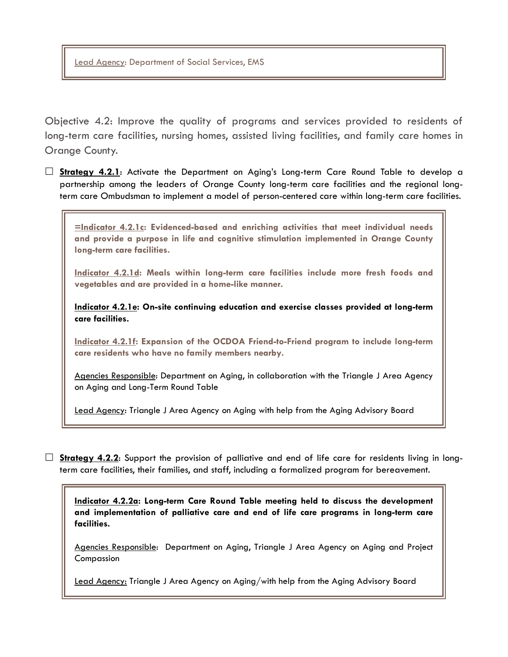Lead Agency: Department of Social Services, EMS

Objective 4.2: Improve the quality of programs and services provided to residents of long-term care facilities, nursing homes, assisted living facilities, and family care homes in Orange County.

 **Strategy 4.2.1**: Activate the Department on Aging's Long-term Care Round Table to develop a partnership among the leaders of Orange County long-term care facilities and the regional longterm care Ombudsman to implement a model of person-centered care within long-term care facilities.

**=Indicator 4.2.1c: Evidenced-based and enriching activities that meet individual needs and provide a purpose in life and cognitive stimulation implemented in Orange County long-term care facilities.**

**Indicator 4.2.1d: Meals within long-term care facilities include more fresh foods and vegetables and are provided in a home-like manner.**

**Indicator 4.2.1e: On-site continuing education and exercise classes provided at long-term care facilities.**

**Indicator 4.2.1f: Expansion of the OCDOA Friend-to-Friend program to include long-term care residents who have no family members nearby.**

Agencies Responsible: Department on Aging, in collaboration with the Triangle J Area Agency on Aging and Long-Term Round Table

Lead Agency: Triangle J Area Agency on Aging with help from the Aging Advisory Board

**Strategy 4.2.2:** Support the provision of palliative and end of life care for residents living in longterm care facilities, their families, and staff, including a formalized program for bereavement.

**Indicator 4.2.2a: Long-term Care Round Table meeting held to discuss the development and implementation of palliative care and end of life care programs in long-term care facilities.**

Agencies Responsible: Department on Aging, Triangle J Area Agency on Aging and Project Compassion

Lead Agency: Triangle J Area Agency on Aging/with help from the Aging Advisory Board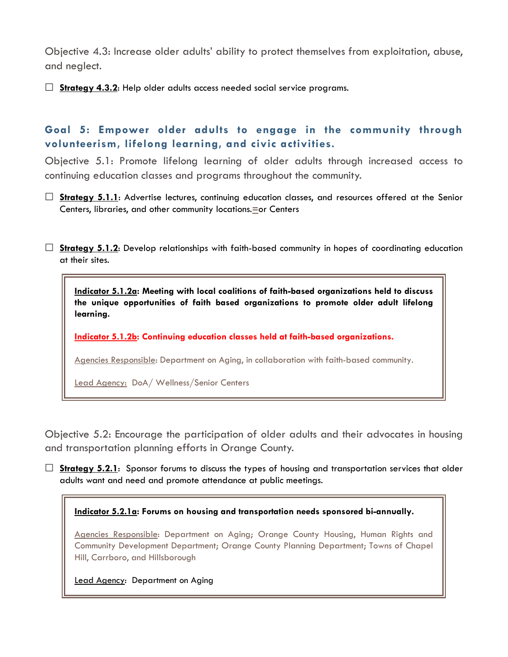Objective 4.3: Increase older adults' ability to protect themselves from exploitation, abuse, and neglect.

**Strategy 4.3.2**: Help older adults access needed social service programs.

# **Goal 5: Empower older adults to engage in the community through volunteerism, lifelong learning, and civic activities.**

Objective 5.1: Promote lifelong learning of older adults through increased access to continuing education classes and programs throughout the community.

 **Strategy 5.1.1**: Advertise lectures, continuing education classes, and resources offered at the Senior Centers, libraries, and other community locations.**=**or Centers

 **Strategy 5.1.2**: Develop relationships with faith-based community in hopes of coordinating education at their sites.

**Indicator 5.1.2a: Meeting with local coalitions of faith-based organizations held to discuss the unique opportunities of faith based organizations to promote older adult lifelong learning.**

**Indicator 5.1.2b: Continuing education classes held at faith-based organizations.**

Agencies Responsible: Department on Aging, in collaboration with faith-based community.

Lead Agency: DoA/ Wellness/Senior Centers

Objective 5.2: Encourage the participation of older adults and their advocates in housing and transportation planning efforts in Orange County.

**Strategy 5.2.1:** Sponsor forums to discuss the types of housing and transportation services that older adults want and need and promote attendance at public meetings.

#### **Indicator 5.2.1a: Forums on housing and transportation needs sponsored bi-annually.**

Agencies Responsible: Department on Aging; Orange County Housing, Human Rights and Community Development Department; Orange County Planning Department; Towns of Chapel Hill, Carrboro, and Hillsborough

Lead Agency: Department on Aging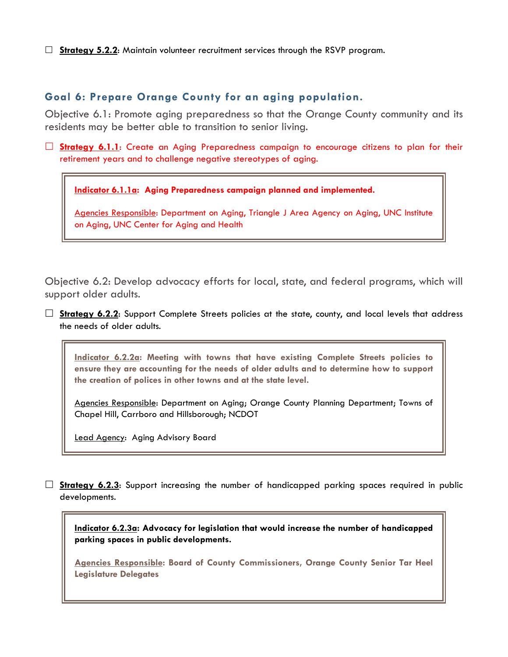□ **Strategy 5.2.2:** Maintain volunteer recruitment services through the RSVP program.

### **Goal 6: Prepare Orange County for an aging population.**

Objective 6.1: Promote aging preparedness so that the Orange County community and its residents may be better able to transition to senior living.

**Strategy 6.1.1**: Create an Aging Preparedness campaign to encourage citizens to plan for their retirement years and to challenge negative stereotypes of aging.

**Indicator 6.1.1a: Aging Preparedness campaign planned and implemented.**

Agencies Responsible: Department on Aging, Triangle J Area Agency on Aging, UNC Institute on Aging, UNC Center for Aging and Health

Objective 6.2: Develop advocacy efforts for local, state, and federal programs, which will support older adults.

**Strategy 6.2.2:** Support Complete Streets policies at the state, county, and local levels that address the needs of older adults.

**Indicator 6.2.2a: Meeting with towns that have existing Complete Streets policies to ensure they are accounting for the needs of older adults and to determine how to support the creation of polices in other towns and at the state level.** 

Agencies Responsible: Department on Aging; Orange County Planning Department; Towns of Chapel Hill, Carrboro and Hillsborough; NCDOT

Lead Agency: Aging Advisory Board

**Strategy 6.2.3:** Support increasing the number of handicapped parking spaces required in public developments.

**Indicator 6.2.3a: Advocacy for legislation that would increase the number of handicapped parking spaces in public developments.**

**Agencies Responsible: Board of County Commissioners, Orange County Senior Tar Heel Legislature Delegates**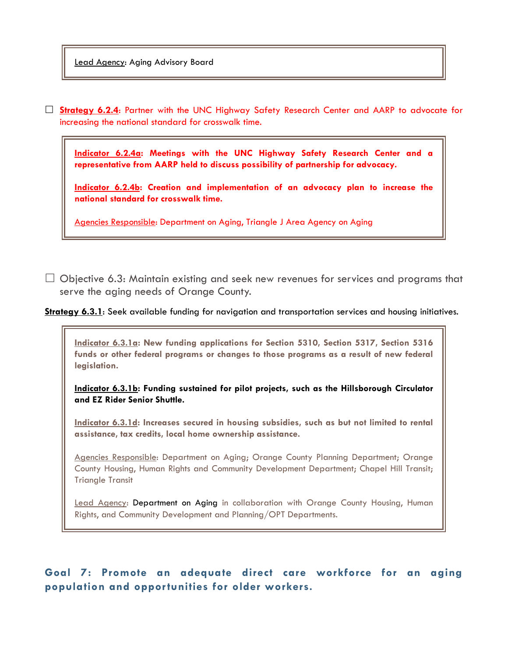Lead Agency: Aging Advisory Board

 **Strategy 6.2.4**: Partner with the UNC Highway Safety Research Center and AARP to advocate for increasing the national standard for crosswalk time.

**Indicator 6.2.4a: Meetings with the UNC Highway Safety Research Center and a representative from AARP held to discuss possibility of partnership for advocacy.** 

**Indicator 6.2.4b: Creation and implementation of an advocacy plan to increase the national standard for crosswalk time.** 

Agencies Responsible: Department on Aging, Triangle J Area Agency on Aging

 $\Box$  Objective 6.3: Maintain existing and seek new revenues for services and programs that serve the aging needs of Orange County.

**Strategy 6.3.1**: Seek available funding for navigation and transportation services and housing initiatives.

**Indicator 6.3.1a: New funding applications for Section 5310, Section 5317, Section 5316 funds or other federal programs or changes to those programs as a result of new federal legislation.** 

**Indicator 6.3.1b: Funding sustained for pilot projects, such as the Hillsborough Circulator and EZ Rider Senior Shuttle.** 

**Indicator 6.3.1d: Increases secured in housing subsidies, such as but not limited to rental assistance, tax credits, local home ownership assistance.**

Agencies Responsible: Department on Aging; Orange County Planning Department; Orange County Housing, Human Rights and Community Development Department; Chapel Hill Transit; Triangle Transit

Lead Agency: Department on Aging in collaboration with Orange County Housing, Human Rights, and Community Development and Planning/OPT Departments.

# **Goal 7: Promote an adequate direct care workforce for an aging population and opportunities for older workers.**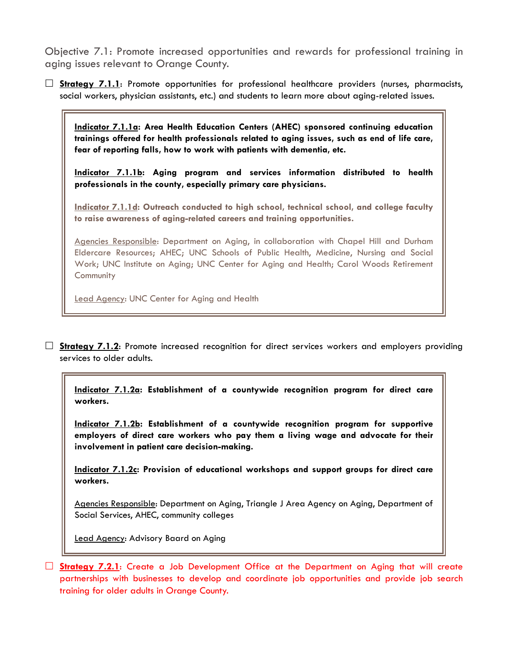Objective 7.1: Promote increased opportunities and rewards for professional training in aging issues relevant to Orange County.

 **Strategy 7.1.1**: Promote opportunities for professional healthcare providers (nurses, pharmacists, social workers, physician assistants, etc.) and students to learn more about aging-related issues.

**Indicator 7.1.1a: Area Health Education Centers (AHEC) sponsored continuing education trainings offered for health professionals related to aging issues, such as end of life care, fear of reporting falls, how to work with patients with dementia, etc.**

**Indicator 7.1.1b: Aging program and services information distributed to health professionals in the county, especially primary care physicians.**

**Indicator 7.1.1d: Outreach conducted to high school, technical school, and college faculty to raise awareness of aging-related careers and training opportunities.**

Agencies Responsible: Department on Aging, in collaboration with Chapel Hill and Durham Eldercare Resources; AHEC; UNC Schools of Public Health, Medicine, Nursing and Social Work; UNC Institute on Aging; UNC Center for Aging and Health; Carol Woods Retirement **Community** 

Lead Agency: UNC Center for Aging and Health

□ **Strategy 7.1.2**: Promote increased recognition for direct services workers and employers providing services to older adults.

**Indicator 7.1.2a: Establishment of a countywide recognition program for direct care workers.**

**Indicator 7.1.2b: Establishment of a countywide recognition program for supportive employers of direct care workers who pay them a living wage and advocate for their involvement in patient care decision-making.**

**Indicator 7.1.2c: Provision of educational workshops and support groups for direct care workers.**

Agencies Responsible: Department on Aging, Triangle J Area Agency on Aging, Department of Social Services, AHEC, community colleges

Lead Agency: Advisory Baard on Aging

 **Strategy 7.2.1**: Create a Job Development Office at the Department on Aging that will create partnerships with businesses to develop and coordinate job opportunities and provide job search training for older adults in Orange County.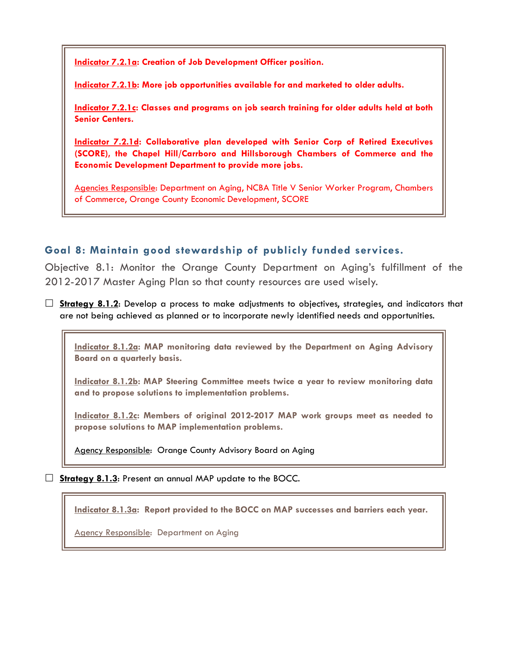**Indicator 7.2.1a: Creation of Job Development Officer position.**

**Indicator 7.2.1b: More job opportunities available for and marketed to older adults.**

**Indicator 7.2.1c: Classes and programs on job search training for older adults held at both Senior Centers.**

**Indicator 7.2.1d: Collaborative plan developed with Senior Corp of Retired Executives (SCORE), the Chapel Hill/Carrboro and Hillsborough Chambers of Commerce and the Economic Development Department to provide more jobs.**

Agencies Responsible: Department on Aging, NCBA Title V Senior Worker Program, Chambers of Commerce, Orange County Economic Development, SCORE

### **Goal 8: Maintain good stewardship of publicly funded services.**

Objective 8.1: Monitor the Orange County Department on Aging's fulfillment of the 2012-2017 Master Aging Plan so that county resources are used wisely.

 **Strategy 8.1.2**: Develop a process to make adjustments to objectives, strategies, and indicators that are not being achieved as planned or to incorporate newly identified needs and opportunities.

**Indicator 8.1.2a: MAP monitoring data reviewed by the Department on Aging Advisory Board on a quarterly basis.** 

**Indicator 8.1.2b: MAP Steering Committee meets twice a year to review monitoring data and to propose solutions to implementation problems.**

**Indicator 8.1.2c: Members of original 2012-2017 MAP work groups meet as needed to propose solutions to MAP implementation problems.**

Agency Responsible: Orange County Advisory Board on Aging

□ **Strategy 8.1.3:** Present an annual MAP update to the BOCC.

**Indicator 8.1.3a: Report provided to the BOCC on MAP successes and barriers each year.**

Agency Responsible: Department on Aging